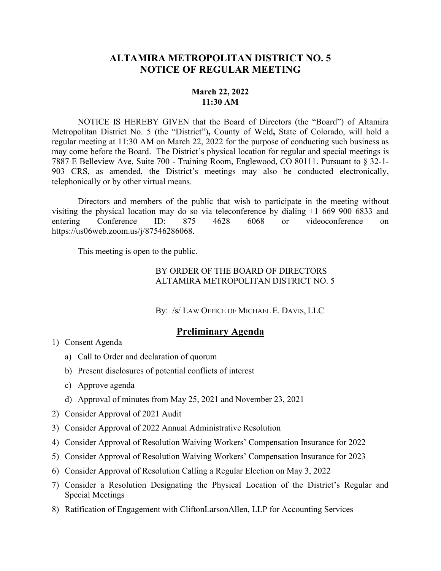## **ALTAMIRA METROPOLITAN DISTRICT NO. 5 NOTICE OF REGULAR MEETING**

## **March 22, 2022 11:30 AM**

NOTICE IS HEREBY GIVEN that the Board of Directors (the "Board") of Altamira Metropolitan District No. 5 (the "District")**,** County of Weld**,** State of Colorado, will hold a regular meeting at 11:30 AM on March 22, 2022 for the purpose of conducting such business as may come before the Board. The District's physical location for regular and special meetings is 7887 E Belleview Ave, Suite 700 - Training Room, Englewood, CO 80111. Pursuant to § 32-1- 903 CRS, as amended, the District's meetings may also be conducted electronically, telephonically or by other virtual means.

Directors and members of the public that wish to participate in the meeting without visiting the physical location may do so via teleconference by dialing +1 669 900 6833 and entering Conference ID: 875 4628 6068 or videoconference on https://us06web.zoom.us/j/87546286068.

This meeting is open to the public.

## BY ORDER OF THE BOARD OF DIRECTORS ALTAMIRA METROPOLITAN DISTRICT NO. 5

By: /s/ LAW OFFICE OF MICHAEL E. DAVIS, LLC

## **Preliminary Agenda**

- 1) Consent Agenda
	- a) Call to Order and declaration of quorum
	- b) Present disclosures of potential conflicts of interest
	- c) Approve agenda
	- d) Approval of minutes from May 25, 2021 and November 23, 2021
- 2) Consider Approval of 2021 Audit
- 3) Consider Approval of 2022 Annual Administrative Resolution
- 4) Consider Approval of Resolution Waiving Workers' Compensation Insurance for 2022
- 5) Consider Approval of Resolution Waiving Workers' Compensation Insurance for 2023
- 6) Consider Approval of Resolution Calling a Regular Election on May 3, 2022
- 7) Consider a Resolution Designating the Physical Location of the District's Regular and Special Meetings
- 8) Ratification of Engagement with CliftonLarsonAllen, LLP for Accounting Services